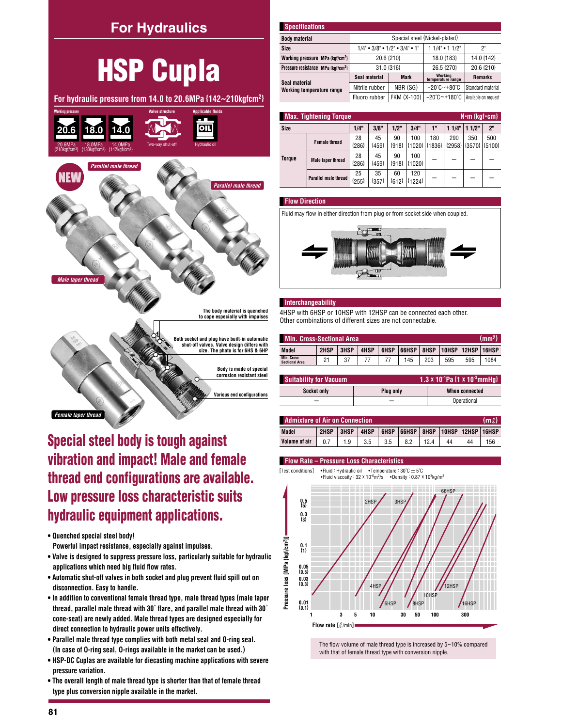

vibration and impact! Male and female thread end configurations are available. Low pressure loss characteristic suits hydraulic equipment applications.

- Quenched special steel body! Powerful impact resistance, especially against impulses.
- . Valve is designed to suppress pressure loss, particularly suitable for hydraulic applications which need big fluid flow rates.
- . Automatic shut-off valves in both socket and plug prevent fluid spill out on disconnection. Easy to handle.
- In addition to conventional female thread type, male thread types (male taper thread, parallel male thread with 30° flare, and parallel male thread with 30° cone-seat) are newly added. Male thread types are designed especially for direct connection to hydraulic power units effectively.
- . Parallel male thread type complies with both metal seal and O-ring seal. (In case of O-ring seal, O-rings available in the market can be used.)
- . HSP-DC Cuplas are available for diecasting machine applications with severe pressure variation.
- . The overall length of male thread type is shorter than that of female thread type plus conversion nipple available in the market.

| <b>Specifications</b>                          |                                                                   |                               |                                       |                      |  |  |  |  |  |
|------------------------------------------------|-------------------------------------------------------------------|-------------------------------|---------------------------------------|----------------------|--|--|--|--|--|
| <b>Body material</b>                           |                                                                   | Special steel (Nickel-plated) |                                       |                      |  |  |  |  |  |
| Size                                           | $1/4$ " $\bullet$ 3/8" $\bullet$ 1/2" $\bullet$ 3/4" $\bullet$ 1" |                               | $11/4"$ • 1 $1/2"$                    | 2"                   |  |  |  |  |  |
| Working pressure MPa {kgf/cm <sup>2</sup> }    | 20.6 {210}                                                        |                               | 18.0 {183}                            | 14.0 {142}           |  |  |  |  |  |
| Pressure resistance MPa {kqf/cm <sup>2</sup> } | 31.0 (316)                                                        |                               | 26.5 {270}                            | 20.6 {210}           |  |  |  |  |  |
| Seal material                                  | Seal material                                                     | <b>Mark</b>                   | Working<br>temperature range          | <b>Remarks</b>       |  |  |  |  |  |
| Working temperature range                      | Nitrile rubber                                                    | NBR (SG)                      | $-20^{\circ}$ C $-+80^{\circ}$ C      | Standard material    |  |  |  |  |  |
|                                                | Fluoro rubber                                                     | FKM (X-100)                   | $-20^{\circ}$ C $-$ +180 $^{\circ}$ C | Available on request |  |  |  |  |  |

|        | <b>Max. Tightening Torque</b><br>$N \cdot m$ {kgf $\cdot$ cm} |               |               |               |                 |                 |                 |                 |                 |  |  |
|--------|---------------------------------------------------------------|---------------|---------------|---------------|-----------------|-----------------|-----------------|-----------------|-----------------|--|--|
| Size   | 1/4"                                                          | 3/8"          | 1/2"          | 3/4"          | 1"              | 11/4"           | 11/2"           | 2 <sup>n</sup>  |                 |  |  |
| Torque | <b>Female thread</b>                                          | 28<br>${286}$ | 45<br>${459}$ | 90<br>${918}$ | 100<br>${1020}$ | 180<br>${1836}$ | 290<br>${2958}$ | 350<br>${3570}$ | 500<br>${5100}$ |  |  |
|        | <b>Male taper thread</b>                                      | 28<br>${286}$ | 45<br>${459}$ | 90<br>${918}$ | 100<br>${1020}$ |                 |                 |                 |                 |  |  |
|        | Parallel male thread                                          | 25<br>${255}$ | 35<br>{357}   | 60<br>${612}$ | 120<br>${1224}$ |                 |                 |                 |                 |  |  |

## **Flow Direction**





## **Interchangeability**

4HSP with 6HSP or 10HSP with 12HSP can be connected each other. Other combinations of different sizes are not connectable.

| Min. Cross-Sectional Area.<br><b>AMM<sup>9</sup></b> |      |           |      |             |       |      |     |               |       |  |  |
|------------------------------------------------------|------|-----------|------|-------------|-------|------|-----|---------------|-------|--|--|
| Model                                                | 2HSP | 3HSP      | 4HSP | <b>6HSP</b> | 66HSP | 8HSP |     | 10HSP   12HSP | 16HSP |  |  |
| Min. Cross-<br><b>Sectional Area</b>                 | 21   | 27<br>، ں |      |             | 145   | 203  | 595 | 595           | 1084  |  |  |

| <b>Suitability for Vacuum</b> |           | 1.3 x 10 <sup>-1</sup> Pa $\{1 \times 10^{-3}$ mmHu $\}$ |
|-------------------------------|-----------|----------------------------------------------------------|
| Socket only                   | Plua only | When connected                                           |
|                               |           | Operational                                              |

| <b>Admixture of Air on Connection</b> |      |      |      |      |                                      |      |    |    | (ml |
|---------------------------------------|------|------|------|------|--------------------------------------|------|----|----|-----|
| Model                                 | 2HSP | 3HSP | 4HSP | 6HSP | 66HSP   8HSP   10HSP   12HSP   16HSP |      |    |    |     |
| Volume of air                         | 0.7  | 1.9  | 3.5  | 3.5  | 8.2                                  | 12.4 | 44 | 44 | 156 |

## **Flow Rate - Pressure Loss Characteristics**

• Fluid: Hydraulic oil • Temperature: 30°C ± 5°C [Test conditions]



The flow volume of male thread type is increased by 5~10% compared with that of female thread type with conversion nipple.